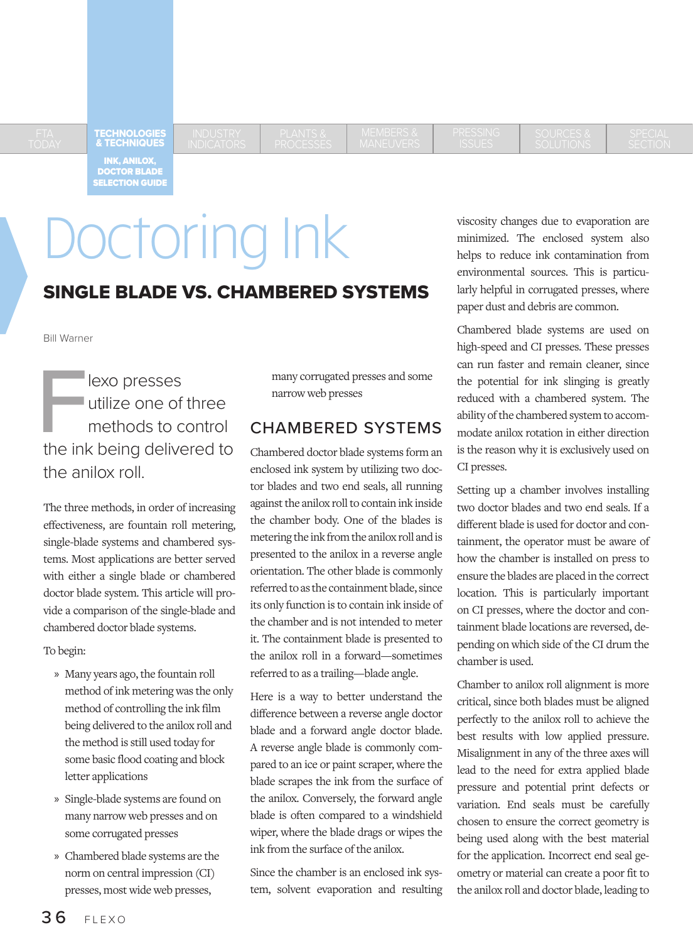TECHNOLOGIES & TECHNIQUES

INK, ANILOX, DOCTOR BLADE SELECTION GUIDE

# Doctoring Ink

## SINGLE BLADE VS. CHAMBERED SYSTEMS

Bill Warner

**Flexo presses**<br>utilize one of<br>methods to c<br>the ink being delive utilize one of three methods to control the ink being delivered to the anilox roll.

The three methods, in order of increasing effectiveness, are fountain roll metering, single-blade systems and chambered systems. Most applications are better served with either a single blade or chambered doctor blade system. This article will provide a comparison of the single-blade and chambered doctor blade systems.

To begin:

- » Many years ago, the fountain roll method of ink metering was the only method of controlling the ink film being delivered to the anilox roll and the method is still used today for some basic flood coating and block letter applications
- » Single-blade systems are found on many narrow web presses and on some corrugated presses
- » Chambered blade systems are the norm on central impression (CI) presses, most wide web presses,

many corrugated presses and some narrow web presses

## CHAMBERED SYSTEMS

Chambered doctor blade systems form an enclosed ink system by utilizing two doctor blades and two end seals, all running against the anilox roll to contain ink inside the chamber body. One of the blades is metering the ink from the anilox roll and is presented to the anilox in a reverse angle orientation. The other blade is commonly referred to as the containment blade, since its only function is to contain ink inside of the chamber and is not intended to meter it. The containment blade is presented to the anilox roll in a forward—sometimes referred to as a trailing—blade angle.

Here is a way to better understand the difference between a reverse angle doctor blade and a forward angle doctor blade. A reverse angle blade is commonly compared to an ice or paint scraper, where the blade scrapes the ink from the surface of the anilox. Conversely, the forward angle blade is often compared to a windshield wiper, where the blade drags or wipes the ink from the surface of the anilox.

Since the chamber is an enclosed ink system, solvent evaporation and resulting viscosity changes due to evaporation are minimized. The enclosed system also helps to reduce ink contamination from environmental sources. This is particularly helpful in corrugated presses, where paper dust and debris are common.

Chambered blade systems are used on high-speed and CI presses. These presses can run faster and remain cleaner, since the potential for ink slinging is greatly reduced with a chambered system. The ability of the chambered system to accommodate anilox rotation in either direction is the reason why it is exclusively used on CI presses.

Setting up a chamber involves installing two doctor blades and two end seals. If a different blade is used for doctor and containment, the operator must be aware of how the chamber is installed on press to ensure the blades are placed in the correct location. This is particularly important on CI presses, where the doctor and containment blade locations are reversed, depending on which side of the CI drum the chamber is used.

Chamber to anilox roll alignment is more critical, since both blades must be aligned perfectly to the anilox roll to achieve the best results with low applied pressure. Misalignment in any of the three axes will lead to the need for extra applied blade pressure and potential print defects or variation. End seals must be carefully chosen to ensure the correct geometry is being used along with the best material for the application. Incorrect end seal geometry or material can create a poor fit to the anilox roll and doctor blade, leading to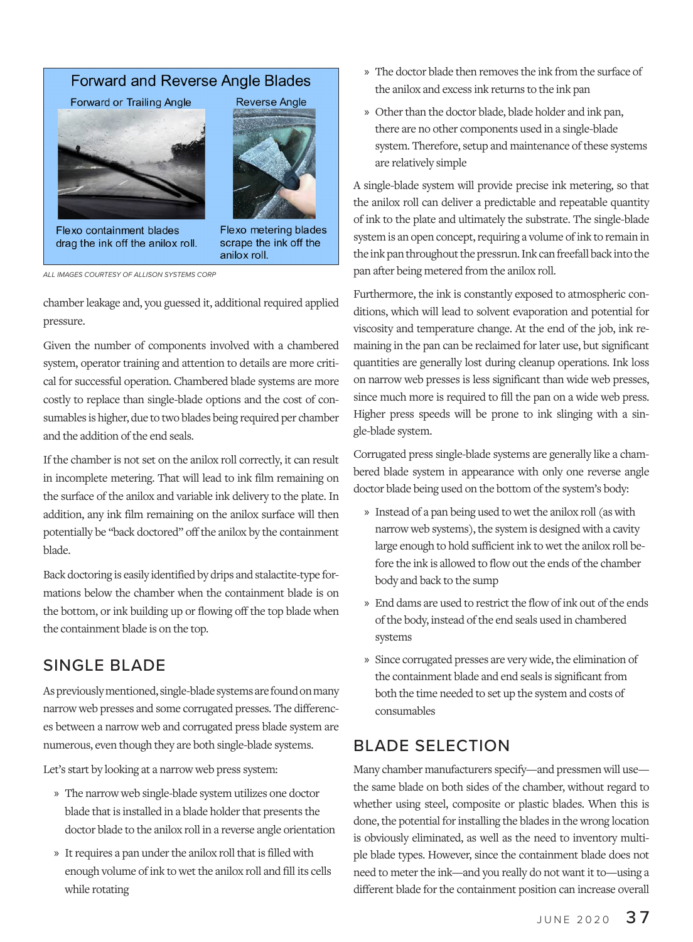#### **Forward and Reverse Angle Blades**

Forward or Trailing Angle





Flexo containment blades drag the ink off the anilox roll.

Flexo metering blades scrape the ink off the anilox roll.

*ALL IMAGES COURTESY OF ALLISON SYSTEMS CORP*

chamber leakage and, you guessed it, additional required applied pressure.

Given the number of components involved with a chambered system, operator training and attention to details are more critical for successful operation. Chambered blade systems are more costly to replace than single-blade options and the cost of consumables is higher, due to two blades being required per chamber and the addition of the end seals.

If the chamber is not set on the anilox roll correctly, it can result in incomplete metering. That will lead to ink film remaining on the surface of the anilox and variable ink delivery to the plate. In addition, any ink film remaining on the anilox surface will then potentially be "back doctored" off the anilox by the containment blade.

Back doctoring is easily identified by drips and stalactite-type formations below the chamber when the containment blade is on the bottom, or ink building up or flowing off the top blade when the containment blade is on the top.

## SINGLE BLADE

As previously mentioned, single-blade systems are found on many narrow web presses and some corrugated presses. The differences between a narrow web and corrugated press blade system are numerous, even though they are both single-blade systems.

Let's start by looking at a narrow web press system:

- » The narrow web single-blade system utilizes one doctor blade that is installed in a blade holder that presents the doctor blade to the anilox roll in a reverse angle orientation
- » It requires a pan under the anilox roll that is filled with enough volume of ink to wet the anilox roll and fill its cells while rotating
- » The doctor blade then removes the ink from the surface of the anilox and excess ink returns to the ink pan
- » Other than the doctor blade, blade holder and ink pan, there are no other components used in a single-blade system. Therefore, setup and maintenance of these systems are relatively simple

A single-blade system will provide precise ink metering, so that the anilox roll can deliver a predictable and repeatable quantity of ink to the plate and ultimately the substrate. The single-blade system is an open concept, requiring a volume of ink to remain in the ink pan throughout the pressrun. Ink can freefall back into the pan after being metered from the anilox roll.

Furthermore, the ink is constantly exposed to atmospheric conditions, which will lead to solvent evaporation and potential for viscosity and temperature change. At the end of the job, ink remaining in the pan can be reclaimed for later use, but significant quantities are generally lost during cleanup operations. Ink loss on narrow web presses is less significant than wide web presses, since much more is required to fill the pan on a wide web press. Higher press speeds will be prone to ink slinging with a single-blade system.

Corrugated press single-blade systems are generally like a chambered blade system in appearance with only one reverse angle doctor blade being used on the bottom of the system's body:

- » Instead of a pan being used to wet the anilox roll (as with narrow web systems), the system is designed with a cavity large enough to hold sufficient ink to wet the anilox roll before the ink is allowed to flow out the ends of the chamber body and back to the sump
- » End dams are used to restrict the flow of ink out of the ends of the body, instead of the end seals used in chambered systems
- » Since corrugated presses are very wide, the elimination of the containment blade and end seals is significant from both the time needed to set up the system and costs of consumables

## BLADE SELECTION

Many chamber manufacturers specify—and pressmen will use the same blade on both sides of the chamber, without regard to whether using steel, composite or plastic blades. When this is done, the potential for installing the blades in the wrong location is obviously eliminated, as well as the need to inventory multiple blade types. However, since the containment blade does not need to meter the ink—and you really do not want it to—using a different blade for the containment position can increase overall